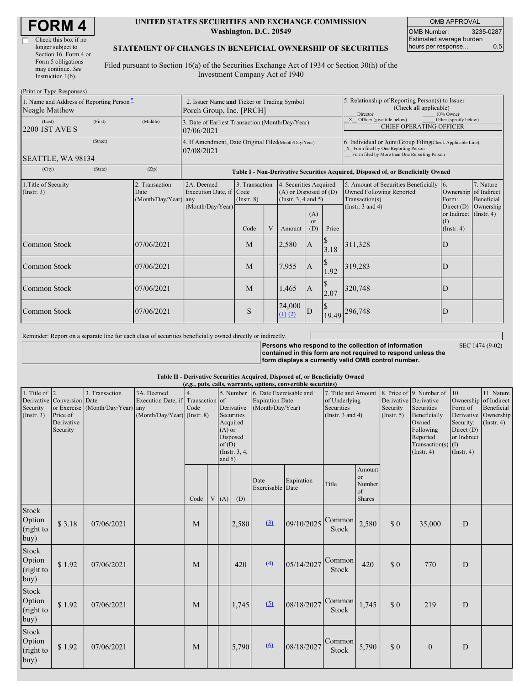г

#### **UNITED STATES SECURITIES AND EXCHANGE COMMISSION Washington, D.C. 20549**

OMB APPROVAL OMB Number: 3235-0287 Estimated average burden hours per response... 0.5

#### **STATEMENT OF CHANGES IN BENEFICIAL OWNERSHIP OF SECURITIES**

Filed pursuant to Section 16(a) of the Securities Exchange Act of 1934 or Section 30(h) of the Investment Company Act of 1940

| (Print or Type Responses)                                  |                                                                         |                                            |                                                                    |                                   |   |                                                                                                     |                                                                                  |                                                                                                                                                    |                                                                                       |                                                                         |                         |
|------------------------------------------------------------|-------------------------------------------------------------------------|--------------------------------------------|--------------------------------------------------------------------|-----------------------------------|---|-----------------------------------------------------------------------------------------------------|----------------------------------------------------------------------------------|----------------------------------------------------------------------------------------------------------------------------------------------------|---------------------------------------------------------------------------------------|-------------------------------------------------------------------------|-------------------------|
| 1. Name and Address of Reporting Person-<br>Neagle Matthew | 2. Issuer Name and Ticker or Trading Symbol<br>Porch Group, Inc. [PRCH] |                                            |                                                                    |                                   |   | 5. Relationship of Reporting Person(s) to Issuer<br>(Check all applicable)<br>Director<br>10% Owner |                                                                                  |                                                                                                                                                    |                                                                                       |                                                                         |                         |
| (Last)<br>2200 1ST AVE S                                   | (First)                                                                 | (Middle)                                   | 3. Date of Earliest Transaction (Month/Day/Year)<br>07/06/2021     |                                   |   |                                                                                                     |                                                                                  |                                                                                                                                                    | Other (specify below)<br>X Officer (give title below)<br>CHIEF OPERATING OFFICER      |                                                                         |                         |
| (Street)<br>SEATTLE, WA 98134                              |                                                                         |                                            | 4. If Amendment, Date Original Filed(Month/Day/Year)<br>07/08/2021 |                                   |   |                                                                                                     |                                                                                  | 6. Individual or Joint/Group Filing(Check Applicable Line)<br>X Form filed by One Reporting Person<br>Form filed by More than One Reporting Person |                                                                                       |                                                                         |                         |
| (City)                                                     | (Zip)                                                                   |                                            |                                                                    |                                   |   |                                                                                                     | Table I - Non-Derivative Securities Acquired, Disposed of, or Beneficially Owned |                                                                                                                                                    |                                                                                       |                                                                         |                         |
| 1. Title of Security<br>$($ Instr. 3 $)$                   |                                                                         | 2. Transaction<br>Date<br>(Month/Day/Year) | 2A. Deemed<br>Execution Date, if Code<br>any                       | 3. Transaction<br>$($ Instr. $8)$ |   | 4. Securities Acquired<br>$(A)$ or Disposed of $(D)$<br>(Instr. $3, 4$ and $5$ )                    |                                                                                  |                                                                                                                                                    | 5. Amount of Securities Beneficially 6.<br>Owned Following Reported<br>Transaction(s) | Ownership of Indirect<br>Form:                                          | 7. Nature<br>Beneficial |
|                                                            |                                                                         |                                            | (Month/Day/Year)                                                   | Code                              | V | Amount                                                                                              | (A)<br><sub>or</sub><br>(D)                                                      | Price                                                                                                                                              | (Instr. $3$ and $4$ )                                                                 | Direct $(D)$<br>or Indirect $($ Instr. 4 $)$<br>$\rm(I)$<br>(Insert. 4) | Ownership               |
| Common Stock                                               |                                                                         | 07/06/2021                                 |                                                                    | M                                 |   | 2,580                                                                                               | A                                                                                | 3.18                                                                                                                                               | 311,328                                                                               | D                                                                       |                         |
| Common Stock                                               |                                                                         | 07/06/2021                                 |                                                                    | M                                 |   | 7,955                                                                                               | A                                                                                | $\mathcal{S}$<br>1.92                                                                                                                              | 319,283                                                                               | D                                                                       |                         |
| <b>Common Stock</b>                                        |                                                                         | 07/06/2021                                 |                                                                    | M                                 |   | 1,465                                                                                               | A                                                                                | 2.07                                                                                                                                               | 320,748                                                                               | D                                                                       |                         |
| <b>Common Stock</b>                                        |                                                                         | 07/06/2021                                 |                                                                    | S                                 |   | 24,000<br>$(1)$ $(2)$                                                                               |                                                                                  |                                                                                                                                                    | 19.49 296,748                                                                         | D                                                                       |                         |

Reminder: Report on a separate line for each class of securities beneficially owned directly or indirectly.

**Persons who respond to the collection of information contained in this form are not required to respond unless the form displays a currently valid OMB control number.** SEC 1474 (9-02)

#### **Table II - Derivative Securities Acquired, Disposed of, or Beneficially Owned**

| (e.g., puts, calls, warrants, options, convertible securities) |                                                                  |                                                    |                                                                                  |      |  |                               |                                                                   |                                                                                 |            |                                                                             |                                               |                                                       |                                                                                                                                |                                                                                     |                                                                                               |
|----------------------------------------------------------------|------------------------------------------------------------------|----------------------------------------------------|----------------------------------------------------------------------------------|------|--|-------------------------------|-------------------------------------------------------------------|---------------------------------------------------------------------------------|------------|-----------------------------------------------------------------------------|-----------------------------------------------|-------------------------------------------------------|--------------------------------------------------------------------------------------------------------------------------------|-------------------------------------------------------------------------------------|-----------------------------------------------------------------------------------------------|
| 1. Title of $\vert$ 2.<br>Security<br>$($ Instr. 3 $)$         | Derivative Conversion Date<br>Price of<br>Derivative<br>Security | 3. Transaction<br>or Exercise (Month/Day/Year) any | 3A. Deemed<br>Execution Date, if Transaction of<br>$(Month/Day/Year)$ (Instr. 8) | Code |  | $(A)$ or<br>of(D)<br>and $5)$ | Derivative<br>Securities<br>Acquired<br>Disposed<br>(Instr. 3, 4, | 5. Number 6. Date Exercisable and<br><b>Expiration Date</b><br>(Month/Day/Year) |            | 7. Title and Amount<br>of Underlying<br>Securities<br>(Instr. $3$ and $4$ ) |                                               | Derivative Derivative<br>Security<br>$($ Instr. 5 $)$ | 8. Price of 9. Number of<br>Securities<br>Beneficially<br>Owned<br>Following<br>Reported<br>Transaction(s)<br>$($ Instr. 4 $)$ | 10.<br>Form of<br>Security:<br>Direct (D)<br>or Indirect<br>(I)<br>$($ Instr. 4 $)$ | 11. Nature<br>Ownership of Indirect<br>Beneficial<br>Derivative Ownership<br>$($ Instr. 4 $)$ |
|                                                                |                                                                  |                                                    |                                                                                  | Code |  | V(A)                          | (D)                                                               | Date<br>Exercisable Date                                                        | Expiration | Title                                                                       | Amount<br>or<br>Number<br>of<br><b>Shares</b> |                                                       |                                                                                                                                |                                                                                     |                                                                                               |
| Stock<br>Option<br>(right to<br>buy)                           | \$3.18                                                           | 07/06/2021                                         |                                                                                  | M    |  |                               | 2,580                                                             | (3)                                                                             | 09/10/2025 | Common<br><b>Stock</b>                                                      | 2,580                                         | \$0                                                   | 35,000                                                                                                                         | D                                                                                   |                                                                                               |
| Stock<br>Option<br>(right to<br>buy)                           | \$1.92                                                           | 07/06/2021                                         |                                                                                  | M    |  |                               | 420                                                               | $\underline{(4)}$                                                               | 05/14/2027 | Common<br><b>Stock</b>                                                      | 420                                           | \$0                                                   | 770                                                                                                                            | D                                                                                   |                                                                                               |
| Stock<br>Option<br>(right to<br>buy)                           | \$1.92                                                           | 07/06/2021                                         |                                                                                  | M    |  |                               | 1,745                                                             | (5)                                                                             | 08/18/2027 | Common<br><b>Stock</b>                                                      | 1,745                                         | $\Omega$                                              | 219                                                                                                                            | D                                                                                   |                                                                                               |
| Stock<br>Option<br>(right to<br>buy)                           | \$1.92                                                           | 07/06/2021                                         |                                                                                  | M    |  |                               | 5,790                                                             | $\underline{(6)}$                                                               | 08/18/2027 | Common<br><b>Stock</b>                                                      | 5,790                                         | \$0                                                   | $\mathbf{0}$                                                                                                                   | D                                                                                   |                                                                                               |